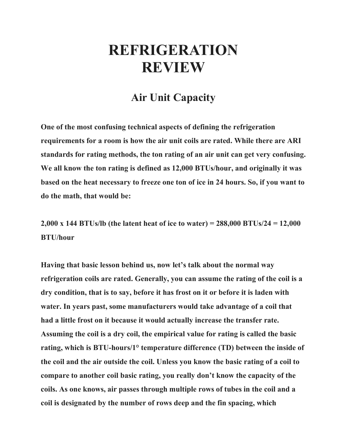## **REFRIGERATION REVIEW**

## **Air Unit Capacity**

**One of the most confusing technical aspects of defining the refrigeration requirements for a room is how the air unit coils are rated. While there are ARI standards for rating methods, the ton rating of an air unit can get very confusing. We all know the ton rating is defined as 12,000 BTUs/hour, and originally it was based on the heat necessary to freeze one ton of ice in 24 hours. So, if you want to do the math, that would be:**

**2,000 x 144 BTUs/lb (the latent heat of ice to water) = 288,000 BTUs/24 = 12,000 BTU/hour**

**Having that basic lesson behind us, now let's talk about the normal way refrigeration coils are rated. Generally, you can assume the rating of the coil is a dry condition, that is to say, before it has frost on it or before it is laden with water. In years past, some manufacturers would take advantage of a coil that had a little frost on it because it would actually increase the transfer rate. Assuming the coil is a dry coil, the empirical value for rating is called the basic rating, which is BTU-hours/1° temperature difference (TD) between the inside of the coil and the air outside the coil. Unless you know the basic rating of a coil to compare to another coil basic rating, you really don't know the capacity of the coils. As one knows, air passes through multiple rows of tubes in the coil and a coil is designated by the number of rows deep and the fin spacing, which**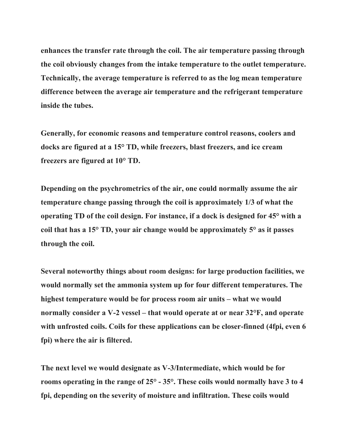**enhances the transfer rate through the coil. The air temperature passing through the coil obviously changes from the intake temperature to the outlet temperature. Technically, the average temperature is referred to as the log mean temperature difference between the average air temperature and the refrigerant temperature inside the tubes.**

**Generally, for economic reasons and temperature control reasons, coolers and docks are figured at a 15° TD, while freezers, blast freezers, and ice cream freezers are figured at 10° TD.**

**Depending on the psychrometrics of the air, one could normally assume the air temperature change passing through the coil is approximately 1/3 of what the operating TD of the coil design. For instance, if a dock is designed for 45° with a coil that has a 15° TD, your air change would be approximately 5° as it passes through the coil.**

**Several noteworthy things about room designs: for large production facilities, we would normally set the ammonia system up for four different temperatures. The highest temperature would be for process room air units – what we would normally consider a V-2 vessel – that would operate at or near 32°F, and operate with unfrosted coils. Coils for these applications can be closer-finned (4fpi, even 6 fpi) where the air is filtered.**

**The next level we would designate as V-3/Intermediate, which would be for rooms operating in the range of 25° - 35°. These coils would normally have 3 to 4 fpi, depending on the severity of moisture and infiltration. These coils would**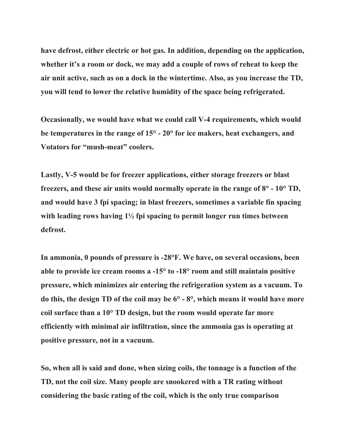**have defrost, either electric or hot gas. In addition, depending on the application, whether it's a room or dock, we may add a couple of rows of reheat to keep the air unit active, such as on a dock in the wintertime. Also, as you increase the TD, you will tend to lower the relative humidity of the space being refrigerated.**

**Occasionally, we would have what we could call V-4 requirements, which would be temperatures in the range of 15° - 20° for ice makers, heat exchangers, and Votators for "mush-meat" coolers.**

**Lastly, V-5 would be for freezer applications, either storage freezers or blast freezers, and these air units would normally operate in the range of 8° - 10° TD, and would have 3 fpi spacing; in blast freezers, sometimes a variable fin spacing with leading rows having 1½ fpi spacing to permit longer run times between defrost.**

**In ammonia, 0 pounds of pressure is -28°F. We have, on several occasions, been able to provide ice cream rooms a -15° to -18° room and still maintain positive pressure, which minimizes air entering the refrigeration system as a vacuum. To do this, the design TD of the coil may be 6° - 8°, which means it would have more coil surface than a 10° TD design, but the room would operate far more efficiently with minimal air infiltration, since the ammonia gas is operating at positive pressure, not in a vacuum.**

**So, when all is said and done, when sizing coils, the tonnage is a function of the TD, not the coil size. Many people are snookered with a TR rating without considering the basic rating of the coil, which is the only true comparison**